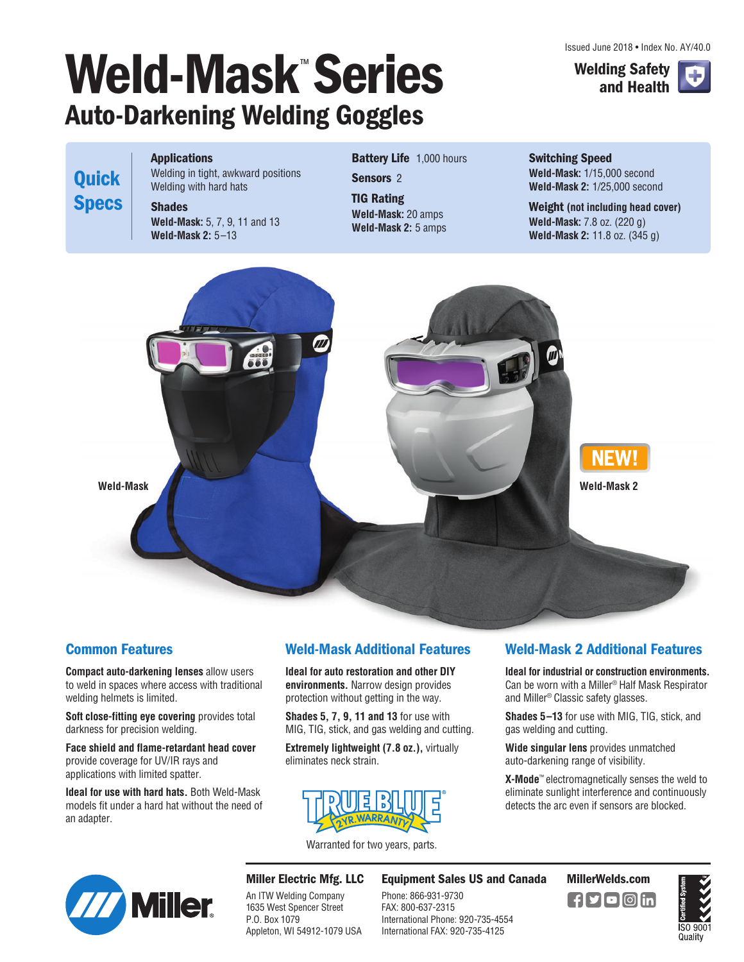# **Weld-Mask**™ **Series Auto-Darkening Welding Goggles**

Issued June 2018 • Index No. AY/40.0



**Applications**

**Quick**

**Specs**

Welding in tight, awkward positions Welding with hard hats

**Shades Weld-Mask:** 5, 7, 9, 11 and 13 **Weld-Mask 2:** 5–13

#### **Battery Life** 1,000 hours

**Sensors** 2

**TIG Rating Weld-Mask:** 20 amps **Weld-Mask 2:** 5 amps **Switching Speed Weld-Mask:** 1/15,000 second **Weld-Mask 2:** 1/25,000 second

**Weight (not including head cover) Weld-Mask:** 7.8 oz. (220 g) **Weld-Mask 2:** 11.8 oz. (345 g)



### **Common Features**

**Compact auto-darkening lenses** allow users to weld in spaces where access with traditional welding helmets is limited.

**Soft close-fitting eye covering** provides total darkness for precision welding.

**Face shield and flame-retardant head cover** provide coverage for UV/IR rays and applications with limited spatter.

**Ideal for use with hard hats.** Both Weld-Mask models fit under a hard hat without the need of an adapter.

#### **Weld-Mask Additional Features**

**Ideal for auto restoration and other DIY environments.** Narrow design provides protection without getting in the way.

**Shades 5, 7, 9, 11 and 13** for use with MIG, TIG, stick, and gas welding and cutting.

**Extremely lightweight (7.8 oz.),** virtually eliminates neck strain.



Warranted for two years, parts.

### **Weld-Mask 2 Additional Features**

**Ideal for industrial or construction environments.** Can be worn with a Miller® Half Mask Respirator and Miller® Classic safety glasses.

**Shades 5–13** for use with MIG, TIG, stick, and gas welding and cutting.

**Wide singular lens** provides unmatched auto-darkening range of visibility.

**X-Mode**™ electromagnetically senses the weld to eliminate sunlight interference and continuously detects the arc even if sensors are blocked.



**Miller Electric Mfg. LLC** An ITW Welding Company 1635 West Spencer Street P.O. Box 1079 Appleton, WI 54912-1079 USA

**Equipment Sales US and Canada MillerWelds.com**

Phone: 866-931-9730 FAX: 800-637-2315 International Phone: 920-735-4554 International FAX: 920-735-4125